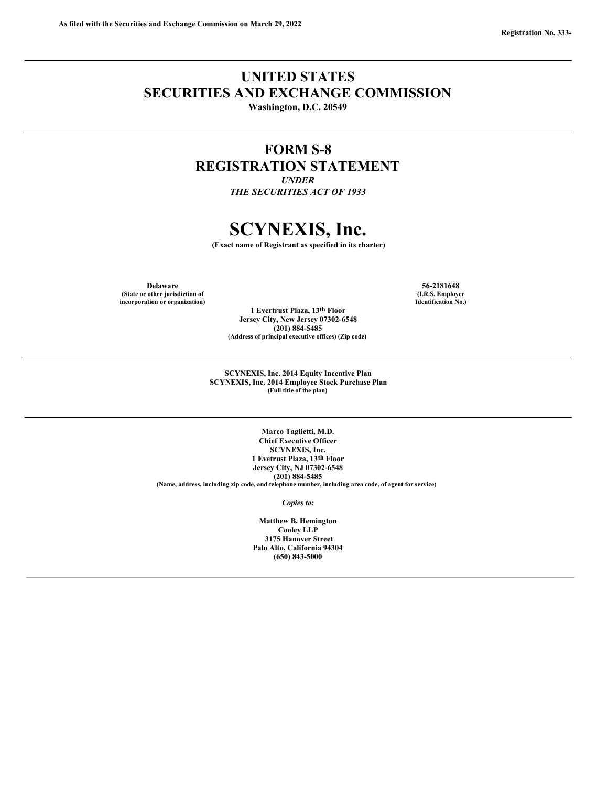## **UNITED STATES SECURITIES AND EXCHANGE COMMISSION**

**Washington, D.C. 20549**

## **FORM S-8 REGISTRATION STATEMENT**

*UNDER THE SECURITIES ACT OF 1933*

# **SCYNEXIS, Inc.**

**(Exact name of Registrant as specified in its charter)**

**Delaware 56-2181648 (State or other jurisdiction of incorporation or organization)**

**(I.R.S. Employer Identification No.)**

**(201) 884-5485 (Address of principal executive offices) (Zip code)**

**1 Evertrust Plaza, 13th Floor Jersey City, New Jersey 07302-6548**

**SCYNEXIS, Inc. 2014 Equity Incentive Plan SCYNEXIS, Inc. 2014 Employee Stock Purchase Plan (Full title of the plan)**

**Marco Taglietti, M.D. Chief Executive Officer SCYNEXIS, Inc. 1 Evetrust Plaza, 13th Floor Jersey City, NJ 07302-6548 (201) 884-5485 (Name, address, including zip code, and telephone number, including area code, of agent for service)**

*Copies to:*

**Matthew B. Hemington Cooley LLP 3175 Hanover Street Palo Alto, California 94304 (650) 843-5000**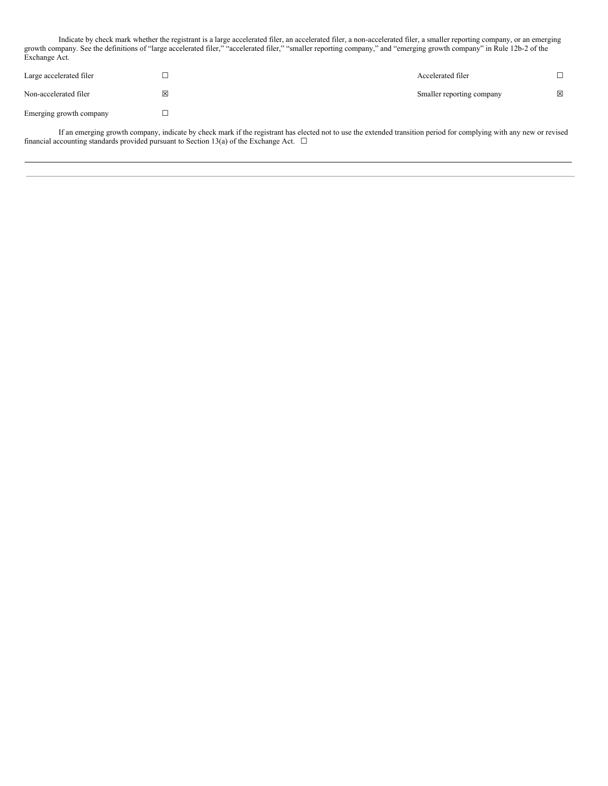Indicate by check mark whether the registrant is a large accelerated filer, an accelerated filer, a non-accelerated filer, a smaller reporting company, or an emerging growth company. See the definitions of "large accelerated filer," "accelerated filer," "smaller reporting company," and "emerging growth company" in Rule 12b-2 of the Exchange Act.

| Large accelerated filer |   | Accelerated filer         |             |
|-------------------------|---|---------------------------|-------------|
| Non-accelerated filer   | ⊠ | Smaller reporting company | $\boxtimes$ |
| Emerging growth company |   |                           |             |

If an emerging growth company, indicate by check mark if the registrant has elected not to use the extended transition period for complying with any new or revised financial accounting standards provided pursuant to Section 13(a) of the Exchange Act.  $\Box$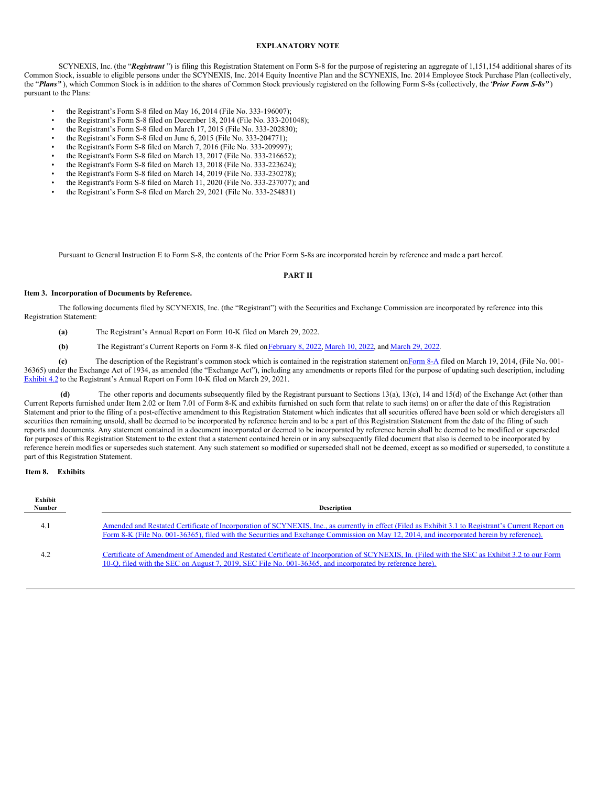#### **EXPLANATORY NOTE**

SCYNEXIS, Inc. (the "*Registrant* ") is filing this Registration Statement on Form S-8 for the purpose of registering an aggregate of 1,151,154 additional shares of its Common Stock, issuable to eligible persons under the SCYNEXIS, Inc. 2014 Equity Incentive Plan and the SCYNEXIS, Inc. 2014 Employee Stock Purchase Plan (collectively, the "*Plans"* ), which Common Stock is in addition to the shares of Common Stock previously registered on the following Form S-8s (collectively, the "*Prior Form S-8s"* ) pursuant to the Plans:

- the Registrant's Form S-8 filed on May 16, 2014 (File No. 333-196007);
- the Registrant's Form S-8 filed on December 18, 2014 (File No. 333-201048);
- the Registrant's Form S-8 filed on March 17, 2015 (File No. 333-202830);
- the Registrant's Form S-8 filed on June 6, 2015 (File No. 333-204771);
- the Registrant's Form S-8 filed on March 7, 2016 (File No. 333-209997);
- the Registrant's Form S-8 filed on March 13, 2017 (File No. 333-216652);
- the Registrant's Form S-8 filed on March 13, 2018 (File No. 333-223624);
- the Registrant's Form S-8 filed on March 14, 2019 (File No. 333-230278);
- the Registrant's Form S-8 filed on March 11, 2020 (File No. 333-237077); and
- the Registrant's Form S-8 filed on March 29, 2021 (File No. 333-254831)

Pursuant to General Instruction E to Form S-8, the contents of the Prior Form S-8s are incorporated herein by reference and made a part hereof.

#### **PART II**

#### **Item 3. Incorporation of Documents by Reference.**

The following documents filed by SCYNEXIS, Inc. (the "Registrant") with the Securities and Exchange Commission are incorporated by reference into this Registration Statement:

- **(a)** The Registrant's Annual Report on Form 10-K filed on March 29, 2022.
- **(b)** The Registrant's Current Reports on Form 8-K filed on [February](https://www.sec.gov/ix?doc=/Archives/edgar/data/1178253/000156459022004229/scyx-8k_20220204.htm) 8, 2022, [March](https://www.sec.gov/ix?doc=/Archives/edgar/data/1178253/000156459022012056/scyx-8k_20220329.htm) 10, 2022, and March 29, 2022.

**(c)** The description of the Registrant's common stock which is contained in the registration statement o[nForm](http://www.sec.gov/Archives/edgar/data/1178253/000119312514106556/d695245d8a12b.htm) 8-A filed on March 19, 2014, (File No. 001- 36365) under the Exchange Act of 1934, as amended (the "Exchange Act"), including any amendments or reports filed for the purpose of updating such description, including [Exhibit](http://www.sec.gov/Archives/edgar/data/1178253/000156459021015962/scyx-ex42_139.htm) 4.2 to the Registrant's Annual Report on Form 10-K filed on March 29, 2021.

**(d)** The other reports and documents subsequently filed by the Registrant pursuant to Sections 13(a), 13(c), 14 and 15(d) of the Exchange Act (other than Current Reports furnished under Item 2.02 or Item 7.01 of Form 8-K and exhibits furnished on such form that relate to such items) on or after the date of this Registration Statement and prior to the filing of a post-effective amendment to this Registration Statement which indicates that all securities offered have been sold or which deregisters all securities then remaining unsold, shall be deemed to be incorporated by reference herein and to be a part of this Registration Statement from the date of the filing of such reports and documents. Any statement contained in a document incorporated or deemed to be incorporated by reference herein shall be deemed to be modified or superseded for purposes of this Registration Statement to the extent that a statement contained herein or in any subsequently filed document that also is deemed to be incorporated by reference herein modifies or supersedes such statement. Any such statement so modified or superseded shall not be deemed, except as so modified or superseded, to constitute a part of this Registration Statement.

#### **Item 8. Exhibits**

| Exhibit<br>Number | Description                                                                                                                                                                                                                                                                                     |  |  |  |  |  |
|-------------------|-------------------------------------------------------------------------------------------------------------------------------------------------------------------------------------------------------------------------------------------------------------------------------------------------|--|--|--|--|--|
| 4.1               | Amended and Restated Certificate of Incorporation of SCYNEXIS, Inc., as currently in effect (Filed as Exhibit 3.1 to Registrant's Current Report on<br>Form 8-K (File No. 001-36365), filed with the Securities and Exchange Commission on May 12, 2014, and incorporated herein by reference). |  |  |  |  |  |
| 4.2               | Certificate of Amendment of Amended and Restated Certificate of Incorporation of SCYNEXIS, In. (Filed with the SEC as Exhibit 3.2 to our Form<br>10-O, filed with the SEC on August 7, 2019, SEC File No. 001-36365, and incorporated by reference here).                                       |  |  |  |  |  |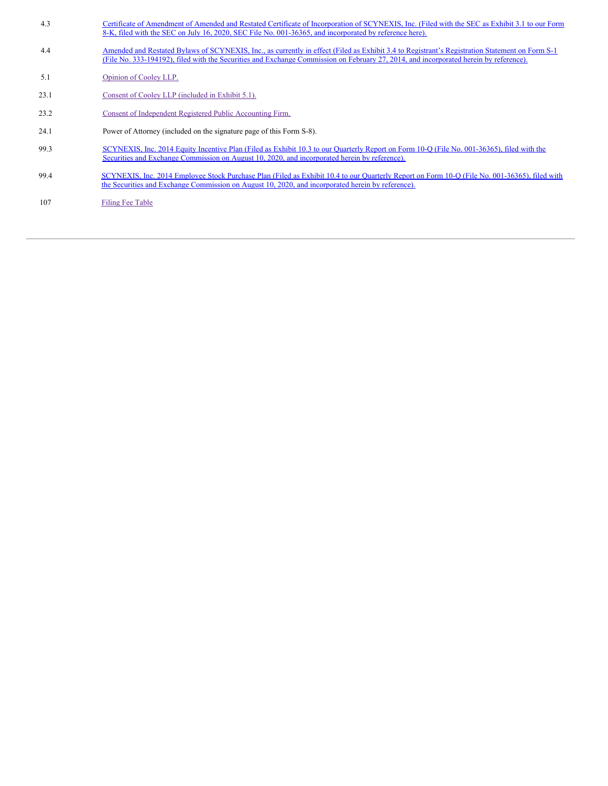| 4.3  | Certificate of Amendment of Amended and Restated Certificate of Incorporation of SCYNEXIS, Inc. (Filed with the SEC as Exhibit 3.1 to our Form<br>8-K, filed with the SEC on July 16, 2020, SEC File No. 001-36365, and incorporated by reference here).                                |
|------|-----------------------------------------------------------------------------------------------------------------------------------------------------------------------------------------------------------------------------------------------------------------------------------------|
| 4.4  | Amended and Restated Bylaws of SCYNEXIS, Inc., as currently in effect (Filed as Exhibit 3.4 to Registrant's Registration Statement on Form S-1<br>(File No. 333-194192), filed with the Securities and Exchange Commission on February 27, 2014, and incorporated herein by reference). |
| 5.1  | Opinion of Cooley LLP.                                                                                                                                                                                                                                                                  |
| 23.1 | Consent of Cooley LLP (included in Exhibit 5.1).                                                                                                                                                                                                                                        |
| 23.2 | Consent of Independent Registered Public Accounting Firm.                                                                                                                                                                                                                               |
| 24.1 | Power of Attorney (included on the signature page of this Form S-8).                                                                                                                                                                                                                    |
| 99.3 | SCYNEXIS, Inc. 2014 Equity Incentive Plan (Filed as Exhibit 10.3 to our Quarterly Report on Form 10-Q (File No. 001-36365), filed with the<br>Securities and Exchange Commission on August 10, 2020, and incorporated herein by reference).                                             |
| 99.4 | SCYNEXIS, Inc. 2014 Employee Stock Purchase Plan (Filed as Exhibit 10.4 to our Ouarterly Report on Form 10-O (File No. 001-36365), filed with<br>the Securities and Exchange Commission on August 10, 2020, and incorporated herein by reference).                                      |
| 107  | <b>Filing Fee Table</b>                                                                                                                                                                                                                                                                 |
|      |                                                                                                                                                                                                                                                                                         |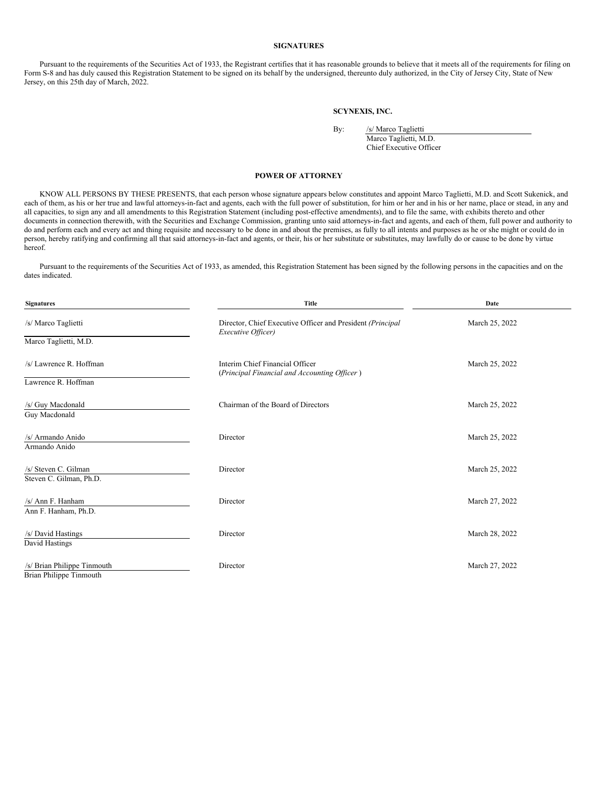#### **SIGNATURES**

Pursuant to the requirements of the Securities Act of 1933, the Registrant certifies that it has reasonable grounds to believe that it meets all of the requirements for filing on Form S-8 and has duly caused this Registration Statement to be signed on its behalf by the undersigned, thereunto duly authorized, in the City of Jersey City, State of New Jersey, on this 25th day of March, 2022.

#### **SCYNEXIS, INC.**

| By: | /s/N |
|-----|------|
|     | Maro |

Iarco Taglietti co Taglietti, M.D. Chief Executive Officer

#### **POWER OF ATTORNEY**

KNOW ALL PERSONS BY THESE PRESENTS, that each person whose signature appears below constitutes and appoint Marco Taglietti, M.D. and Scott Sukenick, and each of them, as his or her true and lawful attorneys-in-fact and agents, each with the full power of substitution, for him or her and in his or her name, place or stead, in any and all capacities, to sign any and all amendments to this Registration Statement (including post-effective amendments), and to file the same, with exhibits thereto and other documents in connection therewith, with the Securities and Exchange Commission, granting unto said attorneys-in-fact and agents, and each of them, full power and authority to do and perform each and every act and thing requisite and necessary to be done in and about the premises, as fully to all intents and purposes as he or she might or could do in person, hereby ratifying and confirming all that said attorneys-in-fact and agents, or their, his or her substitute or substitutes, may lawfully do or cause to be done by virtue hereof.

Pursuant to the requirements of the Securities Act of 1933, as amended, this Registration Statement has been signed by the following persons in the capacities and on the dates indicated.

| <b>Signatures</b>                                             | <b>Title</b>                                                                     | Date           |  |  |  |
|---------------------------------------------------------------|----------------------------------------------------------------------------------|----------------|--|--|--|
| /s/ Marco Taglietti                                           | Director, Chief Executive Officer and President (Principal<br>Executive Officer) | March 25, 2022 |  |  |  |
| Marco Taglietti, M.D.                                         |                                                                                  |                |  |  |  |
| /s/ Lawrence R. Hoffman                                       | Interim Chief Financial Officer<br>(Principal Financial and Accounting Officer)  | March 25, 2022 |  |  |  |
| Lawrence R. Hoffman                                           |                                                                                  |                |  |  |  |
| /s/ Guy Macdonald<br>Guy Macdonald                            | Chairman of the Board of Directors                                               | March 25, 2022 |  |  |  |
| /s/ Armando Anido<br>Armando Anido                            | Director                                                                         | March 25, 2022 |  |  |  |
| /s/ Steven C. Gilman<br>Steven C. Gilman, Ph.D.               | Director                                                                         | March 25, 2022 |  |  |  |
| /s/ Ann F. Hanham<br>Ann F. Hanham, Ph.D.                     | Director                                                                         | March 27, 2022 |  |  |  |
| /s/ David Hastings<br>David Hastings                          | Director                                                                         | March 28, 2022 |  |  |  |
| /s/ Brian Philippe Tinmouth<br><b>Brian Philippe Tinmouth</b> | Director                                                                         | March 27, 2022 |  |  |  |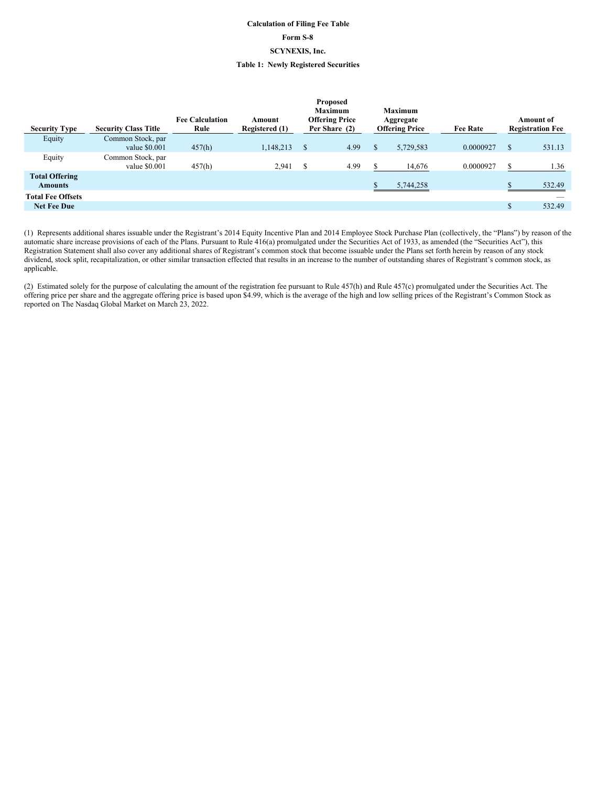### **Calculation of Filing Fee Table Form S-8 SCYNEXIS, Inc. Table 1: Newly Registered Securities**

<span id="page-5-0"></span>

| <b>Security Type</b>                    | <b>Security Class Title</b> | <b>Fee Calculation</b><br>Rule | Amount<br>Registered (1) |   | Proposed<br><b>Maximum</b><br><b>Offering Price</b><br>Per Share (2) | <b>Maximum</b><br>Aggregate<br><b>Offering Price</b> | <b>Fee Rate</b> |    | <b>Amount of</b><br><b>Registration Fee</b> |
|-----------------------------------------|-----------------------------|--------------------------------|--------------------------|---|----------------------------------------------------------------------|------------------------------------------------------|-----------------|----|---------------------------------------------|
| Equity                                  | Common Stock, par           |                                |                          |   |                                                                      |                                                      |                 |    |                                             |
|                                         | value $$0.001$              | 457(h)                         | 1,148,213                | S | 4.99                                                                 | 5,729,583                                            | 0.0000927       | S  | 531.13                                      |
| Equity                                  | Common Stock, par           |                                |                          |   |                                                                      |                                                      |                 |    |                                             |
|                                         | value $$0.001$              | 457(h)                         | 2,941                    | S | 4.99                                                                 | 14,676                                               | 0.0000927       | S  | 1.36                                        |
| <b>Total Offering</b><br><b>Amounts</b> |                             |                                |                          |   |                                                                      | 5,744,258                                            |                 |    | 532.49                                      |
| <b>Total Fee Offsets</b>                |                             |                                |                          |   |                                                                      |                                                      |                 |    | $\overline{\phantom{a}}$                    |
| <b>Net Fee Due</b>                      |                             |                                |                          |   |                                                                      |                                                      |                 | \$ | 532.49                                      |

(1) Represents additional shares issuable under the Registrant's 2014 Equity Incentive Plan and 2014 Employee Stock Purchase Plan (collectively, the "Plans") by reason of the automatic share increase provisions of each of the Plans. Pursuant to Rule 416(a) promulgated under the Securities Act of 1933, as amended (the "Securities Act"), this Registration Statement shall also cover any additional shares of Registrant's common stock that become issuable under the Plans set forth herein by reason of any stock dividend, stock split, recapitalization, or other similar transaction effected that results in an increase to the number of outstanding shares of Registrant's common stock, as applicable.

(2) Estimated solely for the purpose of calculating the amount of the registration fee pursuant to Rule 457(h) and Rule 457(c) promulgated under the Securities Act. The offering price per share and the aggregate offering price is based upon \$4.99, which is the average of the high and low selling prices of the Registrant's Common Stock as reported on The Nasdaq Global Market on March 23, 2022.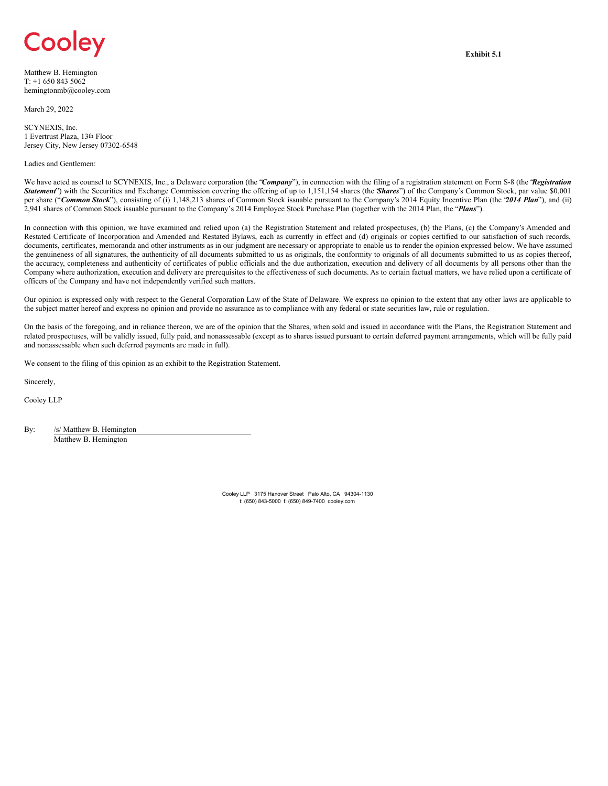# <span id="page-6-0"></span>Cooley

Matthew B. Hemington T: +1 650 843 5062 hemingtonmb@cooley.com

March 29, 2022

SCYNEXIS, Inc. 1 Evertrust Plaza, 13th Floor Jersey City, New Jersey 07302-6548

#### Ladies and Gentlemen:

We have acted as counsel to SCYNEXIS, Inc., a Delaware corporation (the "*Company*"), in connection with the filing of a registration statement on Form S-8 (the *Registration Statement*") with the Securities and Exchange Commission covering the offering of up to 1,151,154 shares (the *Shares*") of the Company's Common Stock, par value \$0.001 per share ("*Common Stock*"), consisting of (i) 1,148,213 shares of Common Stock issuable pursuant to the Company's 2014 Equity Incentive Plan (the "*2014 Plan*"), and (ii) 2,941 shares of Common Stock issuable pursuant to the Company's 2014 Employee Stock Purchase Plan (together with the 2014 Plan, the "*Plans*").

In connection with this opinion, we have examined and relied upon (a) the Registration Statement and related prospectuses, (b) the Plans, (c) the Company's Amended and Restated Certificate of Incorporation and Amended and Restated Bylaws, each as currently in effect and (d) originals or copies certified to our satisfaction of such records, documents, certificates, memoranda and other instruments as in our judgment are necessary or appropriate to enable us to render the opinion expressed below. We have assumed the genuineness of all signatures, the authenticity of all documents submitted to us as originals, the conformity to originals of all documents submitted to us as copies thereof, the accuracy, completeness and authenticity of certificates of public officials and the due authorization, execution and delivery of all documents by all persons other than the Company where authorization, execution and delivery are prerequisites to the effectiveness of such documents. As to certain factual matters, we have relied upon a certificate of officers of the Company and have not independently verified such matters.

Our opinion is expressed only with respect to the General Corporation Law of the State of Delaware. We express no opinion to the extent that any other laws are applicable to the subject matter hereof and express no opinion and provide no assurance as to compliance with any federal or state securities law, rule or regulation.

On the basis of the foregoing, and in reliance thereon, we are of the opinion that the Shares, when sold and issued in accordance with the Plans, the Registration Statement and related prospectuses, will be validly issued, fully paid, and nonassessable (except as to shares issued pursuant to certain deferred payment arrangements, which will be fully paid and nonassessable when such deferred payments are made in full).

We consent to the filing of this opinion as an exhibit to the Registration Statement.

Sincerely,

Cooley LLP

By: /s/ Matthew B. Hemington Matthew B. Hemington

> Cooley LLP 3175 Hanover Street Palo Alto, CA 94304-1130 t: (650) 843-5000 f: (650) 849-7400 cooley.com